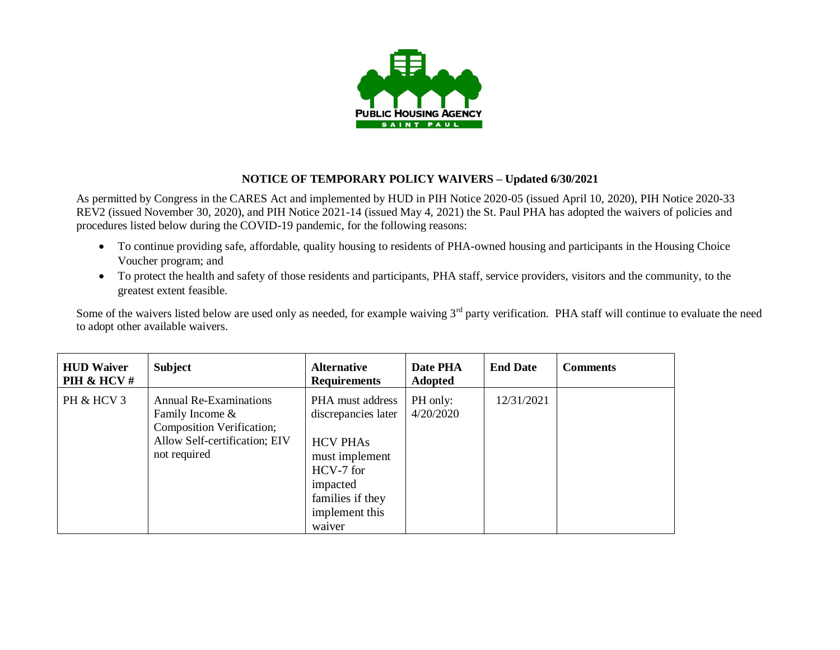

## **NOTICE OF TEMPORARY POLICY WAIVERS – Updated 6/30/2021**

As permitted by Congress in the CARES Act and implemented by HUD in PIH Notice 2020-05 (issued April 10, 2020), PIH Notice 2020-33 REV2 (issued November 30, 2020), and PIH Notice 2021-14 (issued May 4, 2021) the St. Paul PHA has adopted the waivers of policies and procedures listed below during the COVID-19 pandemic, for the following reasons:

- To continue providing safe, affordable, quality housing to residents of PHA-owned housing and participants in the Housing Choice Voucher program; and
- To protect the health and safety of those residents and participants, PHA staff, service providers, visitors and the community, to the greatest extent feasible.

Some of the waivers listed below are used only as needed, for example waiving 3<sup>rd</sup> party verification. PHA staff will continue to evaluate the need to adopt other available waivers.

| <b>HUD Waiver</b><br>PIH & HCV # | <b>Subject</b>                                                                                                            | <b>Alternative</b><br><b>Requirements</b>                                                                                                             | Date PHA<br><b>Adopted</b> | <b>End Date</b> | <b>Comments</b> |
|----------------------------------|---------------------------------------------------------------------------------------------------------------------------|-------------------------------------------------------------------------------------------------------------------------------------------------------|----------------------------|-----------------|-----------------|
| PH & HCV 3                       | Annual Re-Examinations<br>Family Income $&$<br>Composition Verification;<br>Allow Self-certification; EIV<br>not required | PHA must address<br>discrepancies later<br><b>HCV PHAs</b><br>must implement<br>HCV-7 for<br>impacted<br>families if they<br>implement this<br>waiver | PH only:<br>4/20/2020      | 12/31/2021      |                 |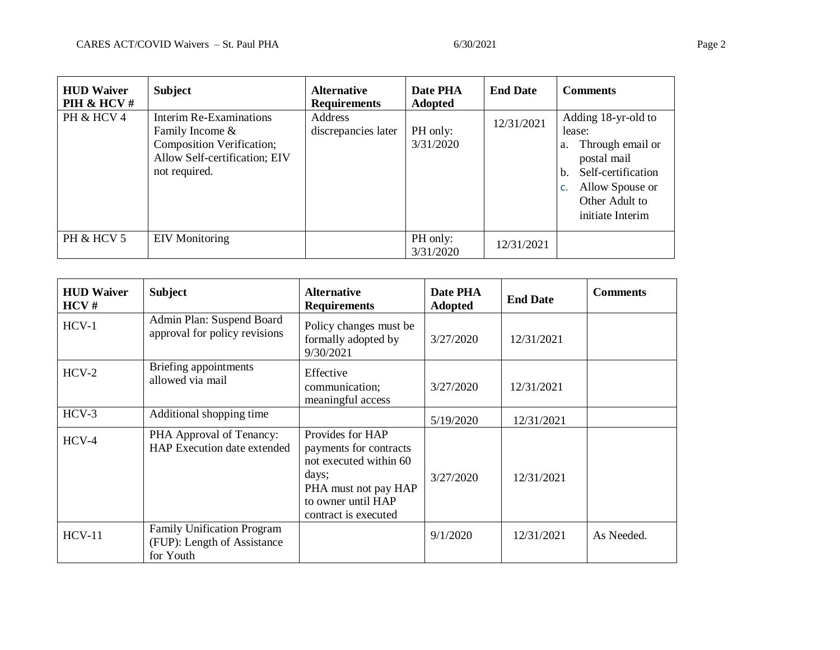| <b>HUD Waiver</b><br>PIH & HCV # | <b>Subject</b>                                                                                                            | <b>Alternative</b><br><b>Requirements</b> | Date PHA<br><b>Adopted</b> | <b>End Date</b> | <b>Comments</b>                                                                                                                                                         |
|----------------------------------|---------------------------------------------------------------------------------------------------------------------------|-------------------------------------------|----------------------------|-----------------|-------------------------------------------------------------------------------------------------------------------------------------------------------------------------|
| PH & HCV 4                       | Interim Re-Examinations<br>Family Income &<br>Composition Verification;<br>Allow Self-certification; EIV<br>not required. | Address<br>discrepancies later            | PH only:<br>3/31/2020      | 12/31/2021      | Adding 18-yr-old to<br>lease:<br>Through email or<br>a.<br>postal mail<br>Self-certification<br>$\mathbf{b}$ .<br>Allow Spouse or<br>Other Adult to<br>initiate Interim |
| PH & HCV 5                       | <b>EIV</b> Monitoring                                                                                                     |                                           | PH only:<br>3/31/2020      | 12/31/2021      |                                                                                                                                                                         |

| <b>HUD Waiver</b><br>HCV# | <b>Subject</b>                                                         | <b>Alternative</b><br><b>Requirements</b>                                                                                                           | Date PHA<br>Adopted | <b>End Date</b> | <b>Comments</b> |
|---------------------------|------------------------------------------------------------------------|-----------------------------------------------------------------------------------------------------------------------------------------------------|---------------------|-----------------|-----------------|
| $HCV-1$                   | Admin Plan: Suspend Board<br>approval for policy revisions             | Policy changes must be<br>formally adopted by<br>9/30/2021                                                                                          | 3/27/2020           | 12/31/2021      |                 |
| $HCV-2$                   | Briefing appointments<br>allowed via mail                              | Effective<br>communication;<br>meaningful access                                                                                                    | 3/27/2020           | 12/31/2021      |                 |
| $HCV-3$                   | Additional shopping time                                               |                                                                                                                                                     | 5/19/2020           | 12/31/2021      |                 |
| $HCV-4$                   | PHA Approval of Tenancy:<br>HAP Execution date extended                | Provides for HAP<br>payments for contracts<br>not executed within 60<br>days;<br>PHA must not pay HAP<br>to owner until HAP<br>contract is executed | 3/27/2020           | 12/31/2021      |                 |
| $HCV-11$                  | Family Unification Program<br>(FUP): Length of Assistance<br>for Youth |                                                                                                                                                     | 9/1/2020            | 12/31/2021      | As Needed.      |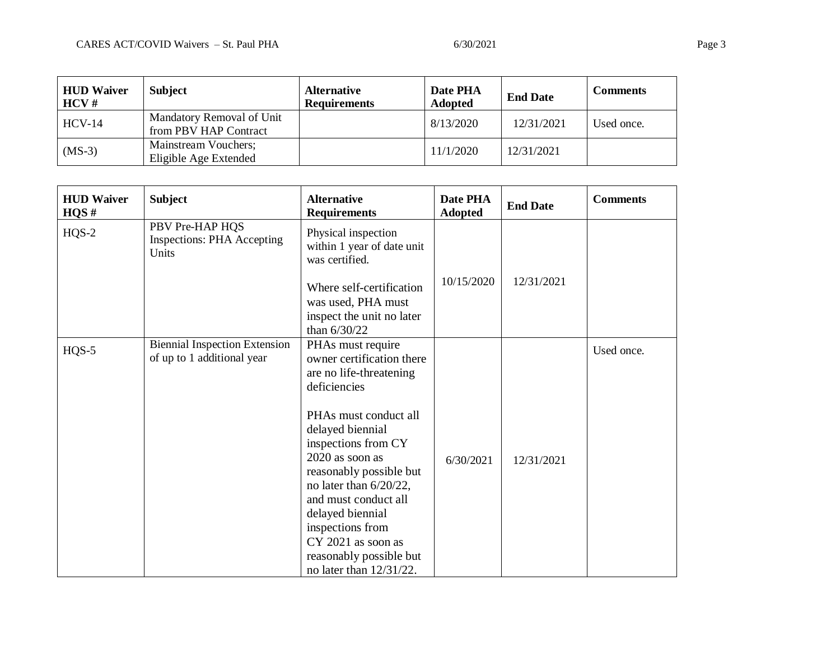| <b>HUD Waiver</b><br>$HCV \#$ | <b>Subject</b>                                     | <b>Alternative</b><br><b>Requirements</b> | Date PHA<br><b>Adopted</b> | <b>End Date</b> | <b>Comments</b> |
|-------------------------------|----------------------------------------------------|-------------------------------------------|----------------------------|-----------------|-----------------|
| $HCV-14$                      | Mandatory Removal of Unit<br>from PBV HAP Contract |                                           | 8/13/2020                  | 12/31/2021      | Used once.      |
| $(MS-3)$                      | Mainstream Vouchers;<br>Eligible Age Extended      |                                           | 11/1/2020                  | 12/31/2021      |                 |

| <b>HUD Waiver</b><br>HQS# | <b>Subject</b>                                                     | <b>Alternative</b><br><b>Requirements</b>                                                                                                                                                                                                                                                                                                                                            | Date PHA<br><b>Adopted</b> | <b>End Date</b> | <b>Comments</b> |
|---------------------------|--------------------------------------------------------------------|--------------------------------------------------------------------------------------------------------------------------------------------------------------------------------------------------------------------------------------------------------------------------------------------------------------------------------------------------------------------------------------|----------------------------|-----------------|-----------------|
| $HQS-2$                   | PBV Pre-HAP HQS<br><b>Inspections: PHA Accepting</b><br>Units      | Physical inspection<br>within 1 year of date unit<br>was certified.                                                                                                                                                                                                                                                                                                                  |                            |                 |                 |
|                           |                                                                    | Where self-certification<br>was used, PHA must<br>inspect the unit no later<br>than $6/30/22$                                                                                                                                                                                                                                                                                        | 10/15/2020                 | 12/31/2021      |                 |
| $HQS-5$                   | <b>Biennial Inspection Extension</b><br>of up to 1 additional year | PHAs must require<br>owner certification there<br>are no life-threatening<br>deficiencies<br>PHAs must conduct all<br>delayed biennial<br>inspections from CY<br>2020 as soon as<br>reasonably possible but<br>no later than 6/20/22,<br>and must conduct all<br>delayed biennial<br>inspections from<br>CY 2021 as soon as<br>reasonably possible but<br>no later than $12/31/22$ . | 6/30/2021                  | 12/31/2021      | Used once.      |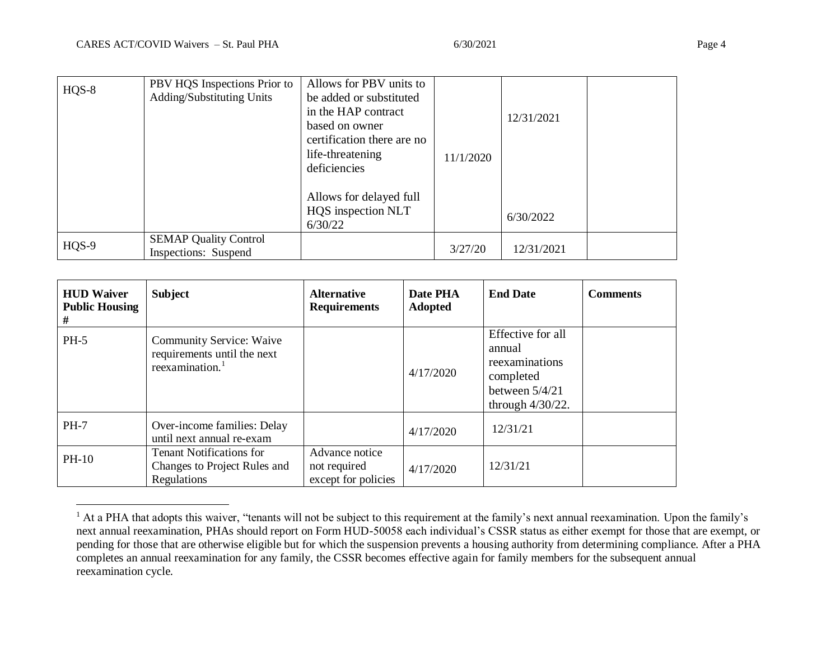$\overline{a}$ 

| $HQS-8$ | PBV HQS Inspections Prior to | Allows for PBV units to    |           |            |  |
|---------|------------------------------|----------------------------|-----------|------------|--|
|         | Adding/Substituting Units    | be added or substituted    |           |            |  |
|         |                              | in the HAP contract        |           | 12/31/2021 |  |
|         |                              | based on owner             |           |            |  |
|         |                              | certification there are no |           |            |  |
|         |                              | life-threatening           | 11/1/2020 |            |  |
|         |                              | deficiencies               |           |            |  |
|         |                              |                            |           |            |  |
|         |                              | Allows for delayed full    |           |            |  |
|         |                              | HQS inspection NLT         |           | 6/30/2022  |  |
|         |                              | 6/30/22                    |           |            |  |
| HQS-9   | <b>SEMAP Quality Control</b> |                            |           |            |  |
|         | Inspections: Suspend         |                            | 3/27/20   | 12/31/2021 |  |

| <b>HUD Waiver</b><br><b>Public Housing</b><br># | <b>Subject</b>                                                                                | <b>Alternative</b><br><b>Requirements</b>             | Date PHA<br><b>Adopted</b> | <b>End Date</b>                                                                                       | <b>Comments</b> |
|-------------------------------------------------|-----------------------------------------------------------------------------------------------|-------------------------------------------------------|----------------------------|-------------------------------------------------------------------------------------------------------|-----------------|
| $PH-5$                                          | <b>Community Service: Waive</b><br>requirements until the next<br>reexamination. <sup>1</sup> |                                                       | 4/17/2020                  | Effective for all<br>annual<br>reexaminations<br>completed<br>between $5/4/21$<br>through $4/30/22$ . |                 |
| <b>PH-7</b>                                     | Over-income families: Delay<br>until next annual re-exam                                      |                                                       | 4/17/2020                  | 12/31/21                                                                                              |                 |
| PH-10                                           | <b>Tenant Notifications for</b><br>Changes to Project Rules and<br>Regulations                | Advance notice<br>not required<br>except for policies | 4/17/2020                  | 12/31/21                                                                                              |                 |

 $<sup>1</sup>$  At a PHA that adopts this waiver, "tenants will not be subject to this requirement at the family's next annual reexamination. Upon the family's</sup> next annual reexamination, PHAs should report on Form HUD-50058 each individual's CSSR status as either exempt for those that are exempt, or pending for those that are otherwise eligible but for which the suspension prevents a housing authority from determining compliance. After a PHA completes an annual reexamination for any family, the CSSR becomes effective again for family members for the subsequent annual reexamination cycle.